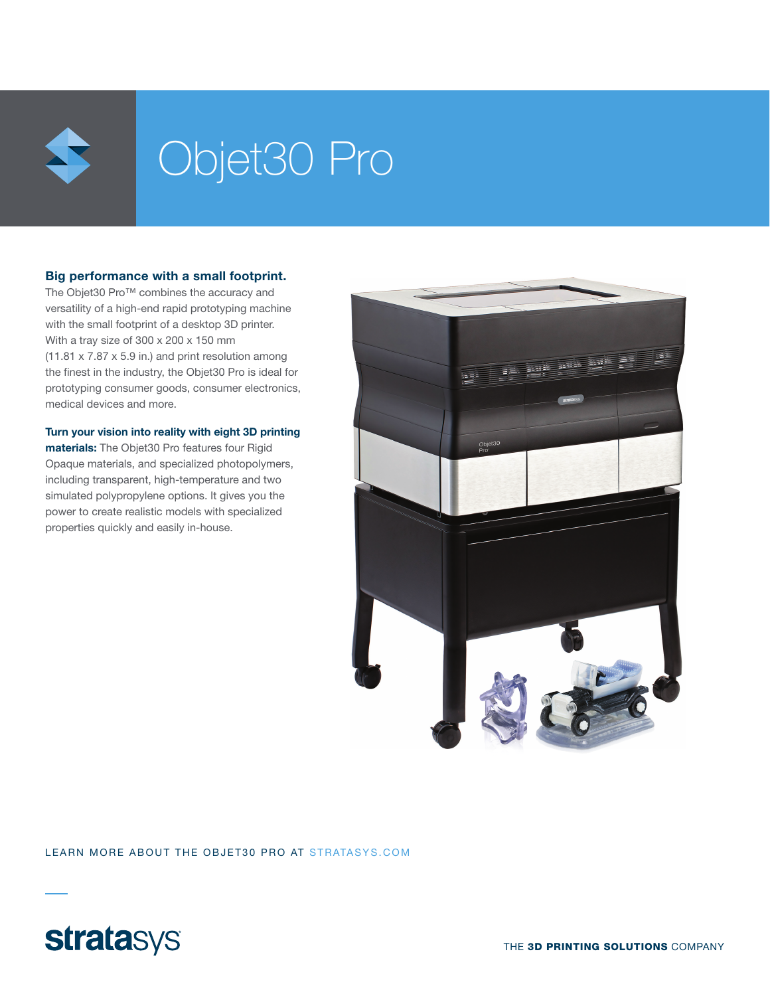

# Objet30 Pro

## Big performance with a small footprint.

The Objet30 Pro™ combines the accuracy and versatility of a high-end rapid prototyping machine with the small footprint of a desktop 3D printer. With a tray size of 300 x 200 x 150 mm (11.81 x 7.87 x 5.9 in.) and print resolution among the finest in the industry, the Objet30 Pro is ideal for prototyping consumer goods, consumer electronics, medical devices and more.

Turn your vision into reality with eight 3D printing materials: The Objet30 Pro features four Rigid Opaque materials, and specialized photopolymers, including transparent, high-temperature and two simulated polypropylene options. It gives you the power to create realistic models with specialized properties quickly and easily in-house.



LEARN MORE ABOUT THE OBJET30 PRO AT STRATASYS.COM